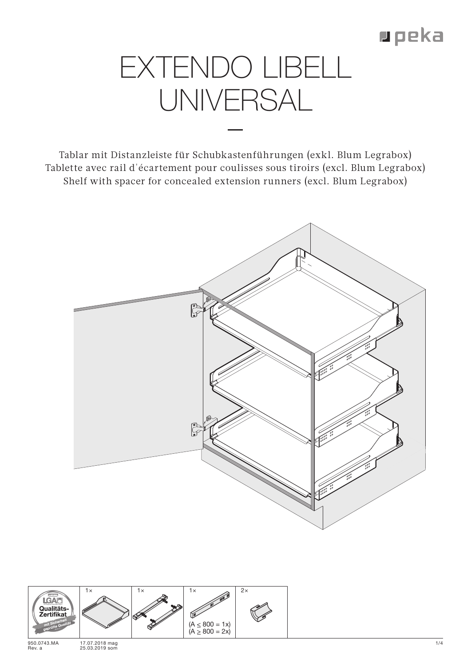## **p** peka

## EXTENDO LIBELL UNIVERSAL

Tablar mit Distanzleiste für Schubkastenführungen (exkl. Blum Legrabox) Tablette avec rail d'écartement pour coulisses sous tiroirs (excl. Blum Legrabox) Shelf with spacer for concealed extension runners (excl. Blum Legrabox)



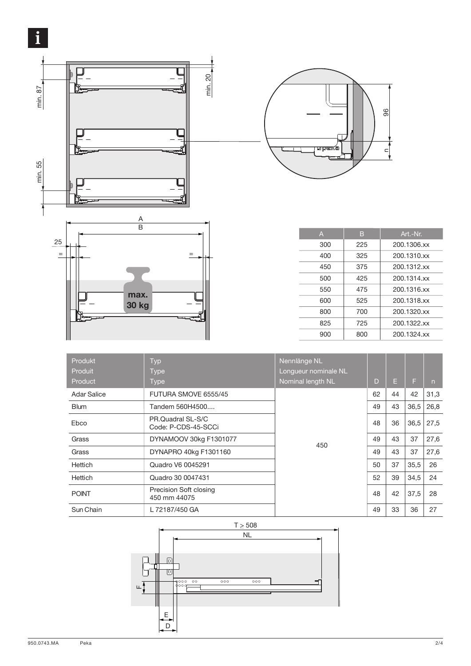



| $\overline{A}$ | B   | Art.-Nr.    |
|----------------|-----|-------------|
| 300            | 225 | 200.1306.xx |
| 400            | 325 | 200.1310.xx |
| 450            | 375 | 200.1312.xx |
| 500            | 425 | 200.1314.xx |
| 550            | 475 | 200.1316.xx |
| 600            | 525 | 200.1318.xx |
| 800            | 700 | 200.1320.xx |
| 825            | 725 | 200.1322.xx |
| 900            | 800 | 200.1324.xx |
|                |     |             |

| Produkt<br>Produit | <b>Typ</b><br><b>Type</b>                | Nennlänge NL<br>Longueur nominale NL |    |    |      |      |
|--------------------|------------------------------------------|--------------------------------------|----|----|------|------|
| Product            | <b>Type</b>                              | Nominal length NL                    | D  | E  | F    | n    |
| <b>Adar Salice</b> | FUTURA SMOVE 6555/45                     | 450                                  | 62 | 44 | 42   | 31,3 |
| <b>Blum</b>        | Tandem 560H4500                          |                                      | 49 | 43 | 36,5 | 26,8 |
| Ebco               | PR.Quadral SL-S/C<br>Code: P-CDS-45-SCCi |                                      | 48 | 36 | 36,5 | 27,5 |
| Grass              | DYNAMOOV 30kg F1301077                   |                                      | 49 | 43 | 37   | 27,6 |
| Grass              | DYNAPRO 40kg F1301160                    |                                      | 49 | 43 | 37   | 27,6 |
| Hettich            | Quadro V6 0045291                        |                                      | 50 | 37 | 35,5 | 26   |
| Hettich            | Quadro 30 0047431                        |                                      | 52 | 39 | 34,5 | 24   |
| <b>POINT</b>       | Precision Soft closing<br>450 mm 44075   |                                      | 48 | 42 | 37,5 | 28   |
| Sun Chain          | L 72187/450 GA                           |                                      | 49 | 33 | 36   | 27   |

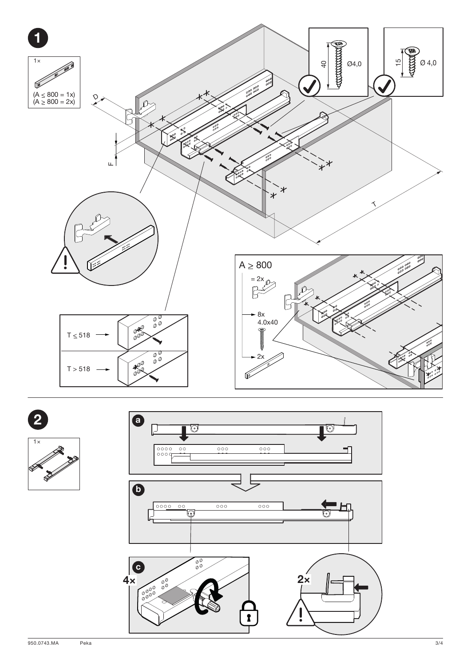



**REPAIR** 



Peka